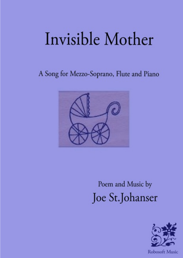## Invisible Mother

## A Song for Mezzo-Soprano, Flute and Piano



## Poem and Music by Joe St.Johanser

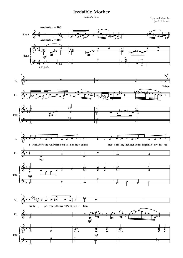## **Invisible Mother**

*to Sheila Blow*

Lyric and Music by Joe St.Johanser

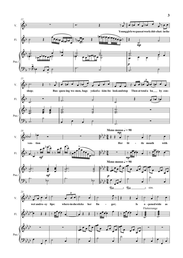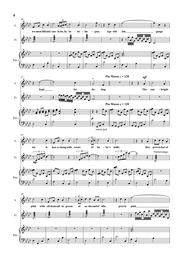





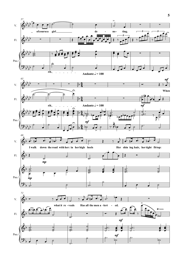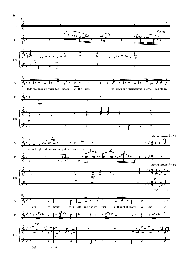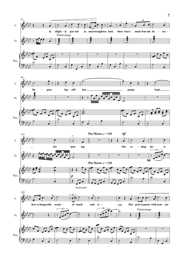

**7**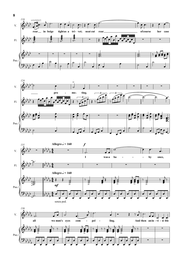





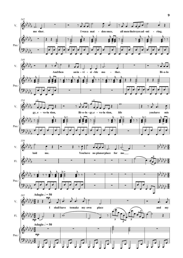

**9**